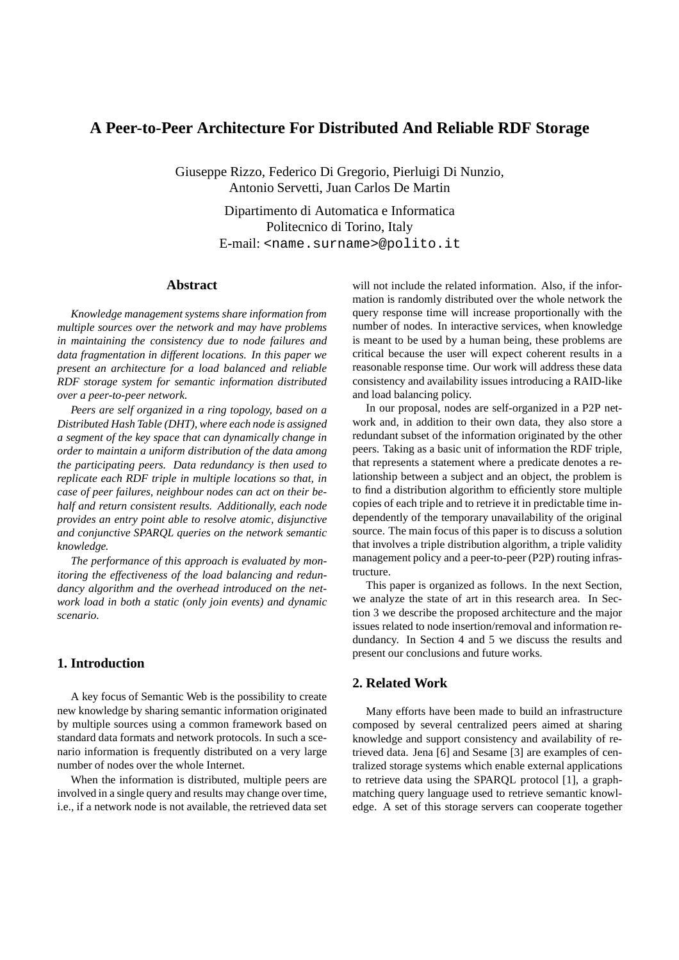# **A Peer-to-Peer Architecture For Distributed And Reliable RDF Storage**

Giuseppe Rizzo, Federico Di Gregorio, Pierluigi Di Nunzio, Antonio Servetti, Juan Carlos De Martin

> Dipartimento di Automatica e Informatica Politecnico di Torino, Italy E-mail: <name.surname>@polito.it

## **Abstract**

*Knowledge management systems share information from multiple sources over the network and may have problems in maintaining the consistency due to node failures and data fragmentation in different locations. In this paper we present an architecture for a load balanced and reliable RDF storage system for semantic information distributed over a peer-to-peer network.*

*Peers are self organized in a ring topology, based on a Distributed Hash Table (DHT), where each node is assigned a segment of the key space that can dynamically change in order to maintain a uniform distribution of the data among the participating peers. Data redundancy is then used to replicate each RDF triple in multiple locations so that, in case of peer failures, neighbour nodes can act on their behalf and return consistent results. Additionally, each node provides an entry point able to resolve atomic, disjunctive and conjunctive SPARQL queries on the network semantic knowledge.*

*The performance of this approach is evaluated by monitoring the effectiveness of the load balancing and redundancy algorithm and the overhead introduced on the network load in both a static (only join events) and dynamic scenario.*

## **1. Introduction**

A key focus of Semantic Web is the possibility to create new knowledge by sharing semantic information originated by multiple sources using a common framework based on standard data formats and network protocols. In such a scenario information is frequently distributed on a very large number of nodes over the whole Internet.

When the information is distributed, multiple peers are involved in a single query and results may change over time, i.e., if a network node is not available, the retrieved data set will not include the related information. Also, if the information is randomly distributed over the whole network the query response time will increase proportionally with the number of nodes. In interactive services, when knowledge is meant to be used by a human being, these problems are critical because the user will expect coherent results in a reasonable response time. Our work will address these data consistency and availability issues introducing a RAID-like and load balancing policy.

In our proposal, nodes are self-organized in a P2P network and, in addition to their own data, they also store a redundant subset of the information originated by the other peers. Taking as a basic unit of information the RDF triple, that represents a statement where a predicate denotes a relationship between a subject and an object, the problem is to find a distribution algorithm to efficiently store multiple copies of each triple and to retrieve it in predictable time independently of the temporary unavailability of the original source. The main focus of this paper is to discuss a solution that involves a triple distribution algorithm, a triple validity management policy and a peer-to-peer (P2P) routing infrastructure.

This paper is organized as follows. In the next Section, we analyze the state of art in this research area. In Section 3 we describe the proposed architecture and the major issues related to node insertion/removal and information redundancy. In Section 4 and 5 we discuss the results and present our conclusions and future works.

## **2. Related Work**

Many efforts have been made to build an infrastructure composed by several centralized peers aimed at sharing knowledge and support consistency and availability of retrieved data. Jena [6] and Sesame [3] are examples of centralized storage systems which enable external applications to retrieve data using the SPARQL protocol [1], a graphmatching query language used to retrieve semantic knowledge. A set of this storage servers can cooperate together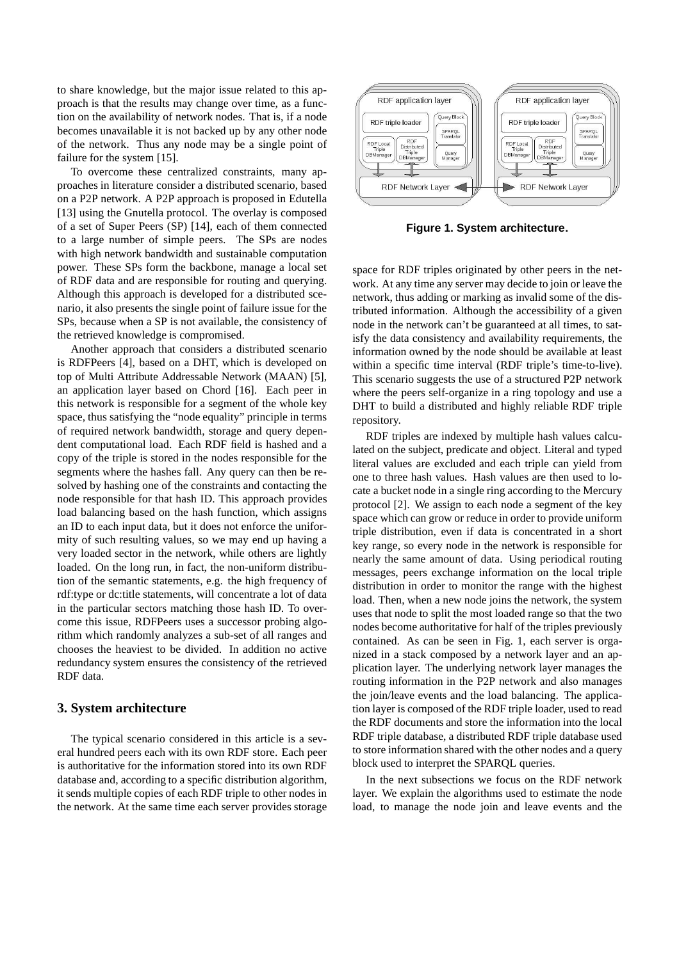to share knowledge, but the major issue related to this approach is that the results may change over time, as a function on the availability of network nodes. That is, if a node becomes unavailable it is not backed up by any other node of the network. Thus any node may be a single point of failure for the system [15].

To overcome these centralized constraints, many approaches in literature consider a distributed scenario, based on a P2P network. A P2P approach is proposed in Edutella [13] using the Gnutella protocol. The overlay is composed of a set of Super Peers (SP) [14], each of them connected to a large number of simple peers. The SPs are nodes with high network bandwidth and sustainable computation power. These SPs form the backbone, manage a local set of RDF data and are responsible for routing and querying. Although this approach is developed for a distributed scenario, it also presents the single point of failure issue for the SPs, because when a SP is not available, the consistency of the retrieved knowledge is compromised.

Another approach that considers a distributed scenario is RDFPeers [4], based on a DHT, which is developed on top of Multi Attribute Addressable Network (MAAN) [5], an application layer based on Chord [16]. Each peer in this network is responsible for a segment of the whole key space, thus satisfying the "node equality" principle in terms of required network bandwidth, storage and query dependent computational load. Each RDF field is hashed and a copy of the triple is stored in the nodes responsible for the segments where the hashes fall. Any query can then be resolved by hashing one of the constraints and contacting the node responsible for that hash ID. This approach provides load balancing based on the hash function, which assigns an ID to each input data, but it does not enforce the uniformity of such resulting values, so we may end up having a very loaded sector in the network, while others are lightly loaded. On the long run, in fact, the non-uniform distribution of the semantic statements, e.g. the high frequency of rdf:type or dc:title statements, will concentrate a lot of data in the particular sectors matching those hash ID. To overcome this issue, RDFPeers uses a successor probing algorithm which randomly analyzes a sub-set of all ranges and chooses the heaviest to be divided. In addition no active redundancy system ensures the consistency of the retrieved RDF data.

## **3. System architecture**

The typical scenario considered in this article is a several hundred peers each with its own RDF store. Each peer is authoritative for the information stored into its own RDF database and, according to a specific distribution algorithm, it sends multiple copies of each RDF triple to other nodes in the network. At the same time each server provides storage



**Figure 1. System architecture.**

space for RDF triples originated by other peers in the network. At any time any server may decide to join or leave the network, thus adding or marking as invalid some of the distributed information. Although the accessibility of a given node in the network can't be guaranteed at all times, to satisfy the data consistency and availability requirements, the information owned by the node should be available at least within a specific time interval (RDF triple's time-to-live). This scenario suggests the use of a structured P2P network where the peers self-organize in a ring topology and use a DHT to build a distributed and highly reliable RDF triple repository.

RDF triples are indexed by multiple hash values calculated on the subject, predicate and object. Literal and typed literal values are excluded and each triple can yield from one to three hash values. Hash values are then used to locate a bucket node in a single ring according to the Mercury protocol [2]. We assign to each node a segment of the key space which can grow or reduce in order to provide uniform triple distribution, even if data is concentrated in a short key range, so every node in the network is responsible for nearly the same amount of data. Using periodical routing messages, peers exchange information on the local triple distribution in order to monitor the range with the highest load. Then, when a new node joins the network, the system uses that node to split the most loaded range so that the two nodes become authoritative for half of the triples previously contained. As can be seen in Fig. 1, each server is organized in a stack composed by a network layer and an application layer. The underlying network layer manages the routing information in the P2P network and also manages the join/leave events and the load balancing. The application layer is composed of the RDF triple loader, used to read the RDF documents and store the information into the local RDF triple database, a distributed RDF triple database used to store information shared with the other nodes and a query block used to interpret the SPARQL queries.

In the next subsections we focus on the RDF network layer. We explain the algorithms used to estimate the node load, to manage the node join and leave events and the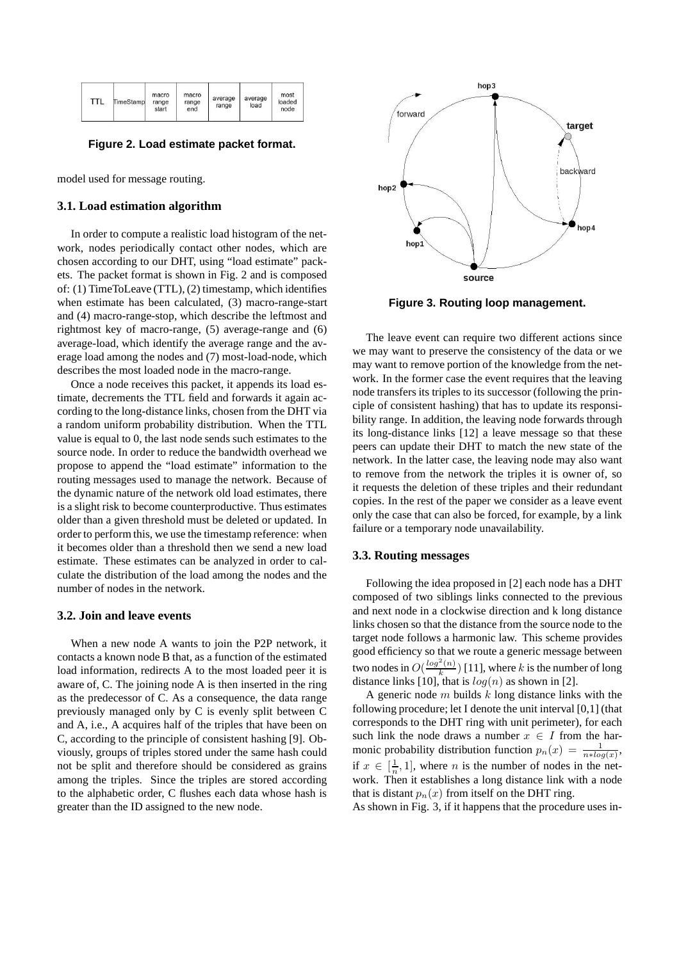| TTL | TimeStamp | macro<br>range<br>start | macro<br>range<br>end | average<br>range | average<br>load | most<br>loaded<br>node |
|-----|-----------|-------------------------|-----------------------|------------------|-----------------|------------------------|
|-----|-----------|-------------------------|-----------------------|------------------|-----------------|------------------------|

**Figure 2. Load estimate packet format.**

model used for message routing.

#### **3.1. Load estimation algorithm**

In order to compute a realistic load histogram of the network, nodes periodically contact other nodes, which are chosen according to our DHT, using "load estimate" packets. The packet format is shown in Fig. 2 and is composed of: (1) TimeToLeave (TTL), (2) timestamp, which identifies when estimate has been calculated, (3) macro-range-start and (4) macro-range-stop, which describe the leftmost and rightmost key of macro-range, (5) average-range and (6) average-load, which identify the average range and the average load among the nodes and (7) most-load-node, which describes the most loaded node in the macro-range.

Once a node receives this packet, it appends its load estimate, decrements the TTL field and forwards it again according to the long-distance links, chosen from the DHT via a random uniform probability distribution. When the TTL value is equal to 0, the last node sends such estimates to the source node. In order to reduce the bandwidth overhead we propose to append the "load estimate" information to the routing messages used to manage the network. Because of the dynamic nature of the network old load estimates, there is a slight risk to become counterproductive. Thus estimates older than a given threshold must be deleted or updated. In order to perform this, we use the timestamp reference: when it becomes older than a threshold then we send a new load estimate. These estimates can be analyzed in order to calculate the distribution of the load among the nodes and the number of nodes in the network.

### **3.2. Join and leave events**

When a new node A wants to join the P2P network, it contacts a known node B that, as a function of the estimated load information, redirects A to the most loaded peer it is aware of, C. The joining node A is then inserted in the ring as the predecessor of C. As a consequence, the data range previously managed only by C is evenly split between C and A, i.e., A acquires half of the triples that have been on C, according to the principle of consistent hashing [9]. Obviously, groups of triples stored under the same hash could not be split and therefore should be considered as grains among the triples. Since the triples are stored according to the alphabetic order, C flushes each data whose hash is greater than the ID assigned to the new node.



**Figure 3. Routing loop management.**

The leave event can require two different actions since we may want to preserve the consistency of the data or we may want to remove portion of the knowledge from the network. In the former case the event requires that the leaving node transfers its triples to its successor (following the principle of consistent hashing) that has to update its responsibility range. In addition, the leaving node forwards through its long-distance links [12] a leave message so that these peers can update their DHT to match the new state of the network. In the latter case, the leaving node may also want to remove from the network the triples it is owner of, so it requests the deletion of these triples and their redundant copies. In the rest of the paper we consider as a leave event only the case that can also be forced, for example, by a link failure or a temporary node unavailability.

#### **3.3. Routing messages**

Following the idea proposed in [2] each node has a DHT composed of two siblings links connected to the previous and next node in a clockwise direction and k long distance links chosen so that the distance from the source node to the target node follows a harmonic law. This scheme provides good efficiency so that we route a generic message between two nodes in  $O(\frac{log^2(n)}{k})$  $\binom{n}{k}$  [11], where k is the number of long distance links [10], that is  $log(n)$  as shown in [2].

A generic node  $m$  builds  $k$  long distance links with the following procedure; let I denote the unit interval [0,1] (that corresponds to the DHT ring with unit perimeter), for each such link the node draws a number  $x \in I$  from the harmonic probability distribution function  $p_n(x) = \frac{1}{n * log(x)}$ , if  $x \in [\frac{1}{n}, 1]$ , where *n* is the number of nodes in the network. Then it establishes a long distance link with a node that is distant  $p_n(x)$  from itself on the DHT ring.

As shown in Fig. 3, if it happens that the procedure uses in-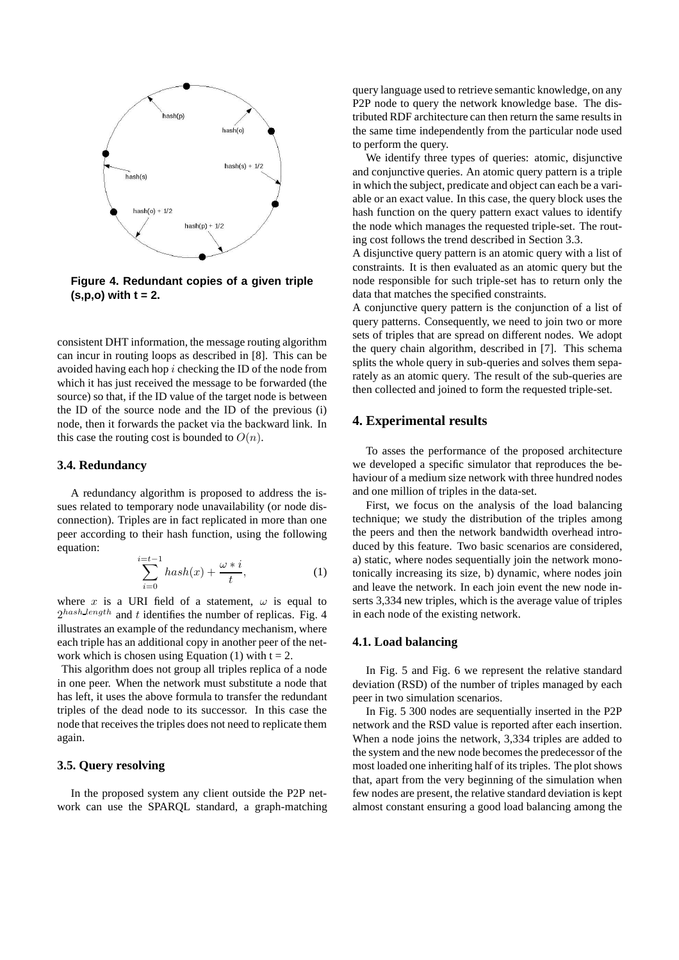

**Figure 4. Redundant copies of a given triple (s,p,o) with t = 2.**

consistent DHT information, the message routing algorithm can incur in routing loops as described in [8]. This can be avoided having each hop  $i$  checking the ID of the node from which it has just received the message to be forwarded (the source) so that, if the ID value of the target node is between the ID of the source node and the ID of the previous (i) node, then it forwards the packet via the backward link. In this case the routing cost is bounded to  $O(n)$ .

#### **3.4. Redundancy**

A redundancy algorithm is proposed to address the issues related to temporary node unavailability (or node disconnection). Triples are in fact replicated in more than one peer according to their hash function, using the following equation:

$$
\sum_{i=0}^{i=t-1} hash(x) + \frac{\omega * i}{t},\tag{1}
$$

where x is a URI field of a statement,  $\omega$  is equal to  $2^{hash\_length}$  and t identifies the number of replicas. Fig. 4 illustrates an example of the redundancy mechanism, where each triple has an additional copy in another peer of the network which is chosen using Equation (1) with  $t = 2$ .

This algorithm does not group all triples replica of a node in one peer. When the network must substitute a node that has left, it uses the above formula to transfer the redundant triples of the dead node to its successor. In this case the node that receives the triples does not need to replicate them again.

## **3.5. Query resolving**

In the proposed system any client outside the P2P network can use the SPARQL standard, a graph-matching query language used to retrieve semantic knowledge, on any P2P node to query the network knowledge base. The distributed RDF architecture can then return the same results in the same time independently from the particular node used to perform the query.

We identify three types of queries: atomic, disjunctive and conjunctive queries. An atomic query pattern is a triple in which the subject, predicate and object can each be a variable or an exact value. In this case, the query block uses the hash function on the query pattern exact values to identify the node which manages the requested triple-set. The routing cost follows the trend described in Section 3.3.

A disjunctive query pattern is an atomic query with a list of constraints. It is then evaluated as an atomic query but the node responsible for such triple-set has to return only the data that matches the specified constraints.

A conjunctive query pattern is the conjunction of a list of query patterns. Consequently, we need to join two or more sets of triples that are spread on different nodes. We adopt the query chain algorithm, described in [7]. This schema splits the whole query in sub-queries and solves them separately as an atomic query. The result of the sub-queries are then collected and joined to form the requested triple-set.

## **4. Experimental results**

To asses the performance of the proposed architecture we developed a specific simulator that reproduces the behaviour of a medium size network with three hundred nodes and one million of triples in the data-set.

First, we focus on the analysis of the load balancing technique; we study the distribution of the triples among the peers and then the network bandwidth overhead introduced by this feature. Two basic scenarios are considered, a) static, where nodes sequentially join the network monotonically increasing its size, b) dynamic, where nodes join and leave the network. In each join event the new node inserts 3,334 new triples, which is the average value of triples in each node of the existing network.

#### **4.1. Load balancing**

In Fig. 5 and Fig. 6 we represent the relative standard deviation (RSD) of the number of triples managed by each peer in two simulation scenarios.

In Fig. 5 300 nodes are sequentially inserted in the P2P network and the RSD value is reported after each insertion. When a node joins the network, 3,334 triples are added to the system and the new node becomes the predecessor of the most loaded one inheriting half of its triples. The plot shows that, apart from the very beginning of the simulation when few nodes are present, the relative standard deviation is kept almost constant ensuring a good load balancing among the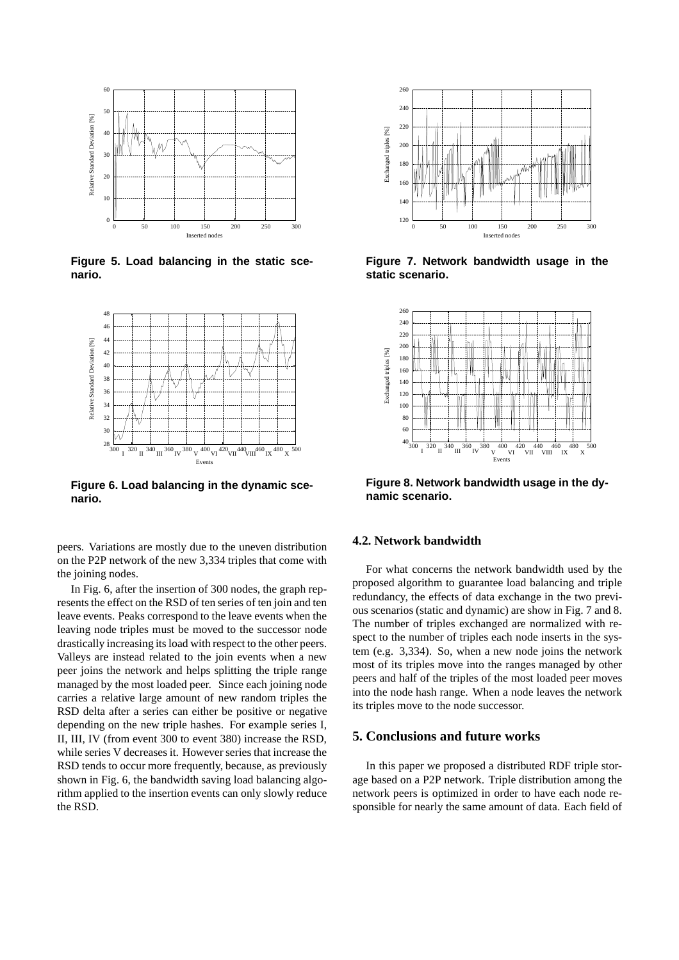

**Figure 5. Load balancing in the static scenario.**



**Figure 6. Load balancing in the dynamic scenario.**

peers. Variations are mostly due to the uneven distribution on the P2P network of the new 3,334 triples that come with the joining nodes.

In Fig. 6, after the insertion of 300 nodes, the graph represents the effect on the RSD of ten series of ten join and ten leave events. Peaks correspond to the leave events when the leaving node triples must be moved to the successor node drastically increasing its load with respect to the other peers. Valleys are instead related to the join events when a new peer joins the network and helps splitting the triple range managed by the most loaded peer. Since each joining node carries a relative large amount of new random triples the RSD delta after a series can either be positive or negative depending on the new triple hashes. For example series I, II, III, IV (from event 300 to event 380) increase the RSD, while series V decreases it. However series that increase the RSD tends to occur more frequently, because, as previously shown in Fig. 6, the bandwidth saving load balancing algorithm applied to the insertion events can only slowly reduce the RSD.



**Figure 7. Network bandwidth usage in the static scenario.**



**Figure 8. Network bandwidth usage in the dynamic scenario.**

### **4.2. Network bandwidth**

For what concerns the network bandwidth used by the proposed algorithm to guarantee load balancing and triple redundancy, the effects of data exchange in the two previous scenarios (static and dynamic) are show in Fig. 7 and 8. The number of triples exchanged are normalized with respect to the number of triples each node inserts in the system (e.g. 3,334). So, when a new node joins the network most of its triples move into the ranges managed by other peers and half of the triples of the most loaded peer moves into the node hash range. When a node leaves the network its triples move to the node successor.

## **5. Conclusions and future works**

In this paper we proposed a distributed RDF triple storage based on a P2P network. Triple distribution among the network peers is optimized in order to have each node responsible for nearly the same amount of data. Each field of